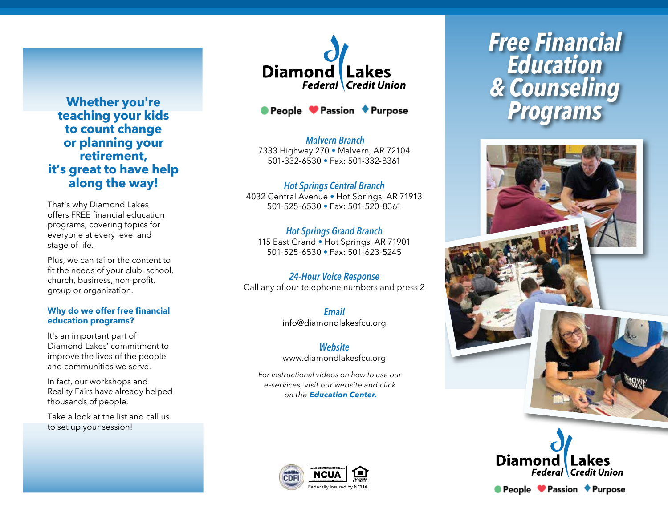**teaching your kids to count change or planning your retirement, it's great to have help along the way!**

That's why Diamond Lakes offers FREE financial education programs, covering topics for everyone at every level and stage of life.

Plus, we can tailor the content to fit the needs of your club, school, church, business, non-profit, group or organization.

#### **Why do we offer free financial education programs?**

It's an important part of Diamond Lakes' commitment to improve the lives of the people and communities we serve.

In fact, our workshops and Reality Fairs have already helped thousands of people.

Take a look at the list and call us to set up your session!

# **Diamond** Lakes **Federal Credit Union**



*Malvern Branch* 7333 Highway 270 • Malvern, AR 72104 501-332-6530 • Fax: 501-332-8361

*Hot Springs Central Branch* 4032 Central Avenue • Hot Springs, AR 71913 501-525-6530 • Fax: 501-520-8361

# *Hot Springs Grand Branch*

115 East Grand • Hot Springs, AR 71901 501-525-6530 • Fax: 501-623-5245

*24-Hour Voice Response* Call any of our telephone numbers and press 2

> *Email* info@diamondlakesfcu.org

### *Website*

www.diamondlakesfcu.org

*For instructional videos on how to use our e-services, visit our website and click on the Education Center.*



# *Free Financial Education & Counseling* **Whether you're ●** People ● Passion ◆ Purpose Programs